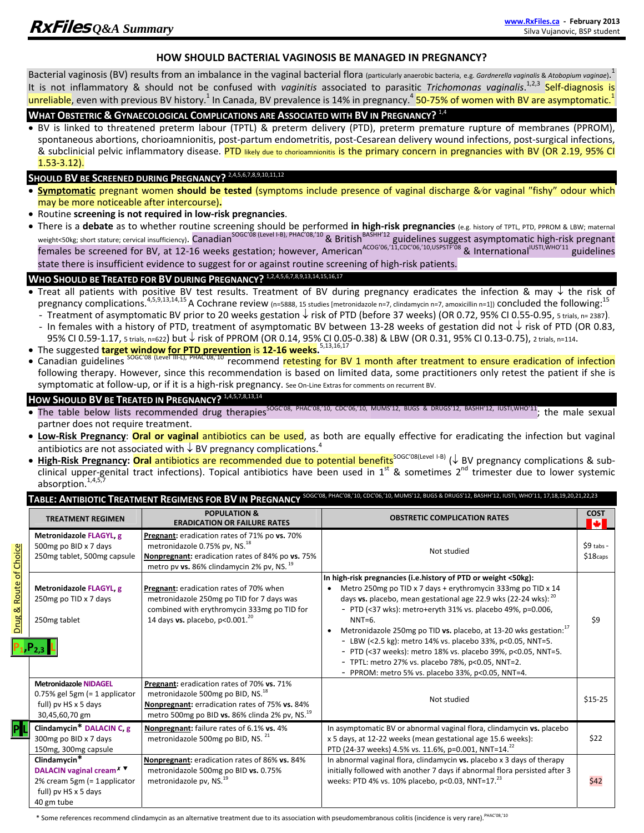#### **HOW SHOULD BACTERIAL VAGINOSIS BE MANAGED IN PREGNANCY?**

Bacterial vaginosis (BV) results from an imbalance in the vaginal bacterial flora (particularly anaerobic bacteria, e.g. *Gardnerella vaginalis* & *Atobopium vaginae*). 1 It is not inflammatory & should not be confused with *vaginitis* associated to parasitic *Trichomonas vaginalis*. 1,2,3 Self‐diagnosis is unreliable, even with previous BV history.<sup>1</sup> In Canada, BV prevalence is 14% in pregnancy.<sup>4</sup> 50-75% of women with BV are asymptomatic.<sup>1</sup>

### **WHAT OBSTETRIC & GYNAECOLOGICAL COMPLICATIONS ARE ASSOCIATED WITH BV IN PREGNANCY?** 1,4

 BV is linked to threatened preterm labour (TPTL) & preterm delivery (PTD), preterm premature rupture of membranes (PPROM), spontaneous abortions, chorioamnionitis, post-partum endometritis, post‐Cesarean delivery wound infections, post‐surgical infections, & subclinicial pelvic inflammatory disease. PTD likely due to chorioamnionitis is the primary concern in pregnancies with BV (OR 2.19, 95% CI 1.53‐3.12).

# **SHOULD BV BE SCREENED DURING PREGNANCY?** 2,4,5,6,7,8,9,10,11,12

- **Symptomatic** pregnant women **should be tested** (symptoms include presence of vaginal discharge &/or vaginal "fishy" odour which may be more noticeable after intercourse)**.**
- Routine **screening is not required in low‐risk pregnancies**.
- There is a debate as to whether routine screening should be performed in high-risk pregnancies (e.g. history of TPTL, PTD, PPROM & LBW; maternal weight<50kg; short stature; cervical insufficiency). <mark>Canadian<sup>SOGC'08 (Level I-B), PHAC'08,'10 & British<sup>BASHH'12</sup> guidelines suggest asymptomatic high-risk pregnant</mark></sup> females be screened for BV, at 12-16 weeks gestation; however, American<sup>ACOG'06,'11,CDC'06,'10,USPSTF'08</sup> & International<sup>IUSTI,WHO'11</sup> guidelines state there is insufficient evidence to suggest for or against routine screening of high‐risk patients.

### **WHO SHOULD BE TREATED FOR BV DURING PREGNANCY?** 1,2,4,5,6,7,8,9,13,14,15,16,17

- Treat all patients with positive BV test results. Treatment of BV during pregnancy eradicates the infection & may  $\downarrow$  the risk of pregnancy complications.<sup>4,5,9,13,14,15</sup> A Cochrane review (n=5888, 15 studies [metronidazole n=7, clindamycin n=7, amoxicillin n=1]) concluded the following:<sup>15</sup>
	- Treatment of asymptomatic BV prior to 20 weeks gestation  $\downarrow$  risk of PTD (before 37 weeks) (OR 0.72, 95% CI 0.55-0.95, 5 trials, n= 2387).
	- In females with a history of PTD, treatment of asymptomatic BV between 13-28 weeks of gestation did not  $\downarrow$  risk of PTD (OR 0.83, 95% CI 0.59-1.17, 5 trials, n=622) but ↓ risk of PPROM (OR 0.14, 95% CI 0.05-0.38) & LBW (OR 0.31, 95% CI 0.13-0.75), 2 trials, n=114.
- The suggested **target window for PTD prevention** is **12‐16 weeks.**5,13,16,17
- Canadian guidelines SOGC'08 (Level III-L), PHAC'08,'10 recommend retesting for BV 1 month after treatment to ensure eradication of infection following therapy. However, since this recommendation is based on limited data, some practitioners only retest the patient if she is symptomatic at follow‐up, or if it is a high‐risk pregnancy. See On‐Line Extras for comments on recurrent BV.

## **HOW SHOULD BV BE TREATED IN PREGNANCY?** <sup>1</sup>**,**4,5,7,8,13,14

- The table below lists recommended drug therapies<sup>SOGC'08, PHAC'08,'10, CDC'06,'10, MUMS'12, BUGS & DRUGS'12, BASHH'12, IUSTI,WHO'11; the male sexual</sup> partner does not require treatment.
- **Low‐Risk Pregnancy**: **Oral or vaginal** antibiotics can be used, as both are equally effective for eradicating the infection but vaginal antibiotics are not associated with  $\downarrow$  BV pregnancy complications.<sup>4</sup>
- High-Risk Pregnancy: Oral antibiotics are recommended due to potential benefits<sup>SOGC'08(Level I-B) (↓ BV pregnancy complications & sub-</sup> clinical upper-genital tract infections). Topical antibiotics have been used in  $1^{st}$  & sometimes  $2^{nd}$  trimester due to lower systemic absorption.<sup>1,4,5,7</sup>

#### **TABLE: ANTIBIOTIC TREATMENT REGIMENS FOR BV IN PREGNANCY** SOGC'08, PHAC'08,'10, CDC'06,'10, MUMS'12, BUGS & DRUGS'12, BASHH'12, IUSTI, WHO'11, 17,18,19,20,21,22,23

|                                   | <b>TREATMENT REGIMEN</b>                                                                                                                    | <b>POPULATION &amp;</b><br><b>ERADICATION OR FAILURE RATES</b>                                                                                                                                              | <b>OBSTRETIC COMPLICATION RATES</b>                                                                                                                                                                                                                                                                                                                                                                                                                                                                                                                                                                   | <b>COST</b><br>м |
|-----------------------------------|---------------------------------------------------------------------------------------------------------------------------------------------|-------------------------------------------------------------------------------------------------------------------------------------------------------------------------------------------------------------|-------------------------------------------------------------------------------------------------------------------------------------------------------------------------------------------------------------------------------------------------------------------------------------------------------------------------------------------------------------------------------------------------------------------------------------------------------------------------------------------------------------------------------------------------------------------------------------------------------|------------------|
| <b>Drug &amp; Route of Choice</b> | Metronidazole FLAGYL, g<br>500mg po BID x 7 days<br>250mg tablet, 500mg capsule                                                             | Pregnant: eradication rates of 71% po vs. 70%<br>metronidazole 0.75% pv, NS. <sup>18</sup><br>Nonpregnant: eradication rates of 84% po vs. 75%<br>metro pv vs. 86% clindamycin 2% pv, NS. 19                | Not studied                                                                                                                                                                                                                                                                                                                                                                                                                                                                                                                                                                                           |                  |
|                                   | Metronidazole FLAGYL, g<br>250mg po TID x 7 days<br>250mg tablet                                                                            | Pregnant: eradication rates of 70% when<br>metronidazole 250mg po TID for 7 days was<br>combined with erythromycin 333mg po TID for<br>14 days vs. placebo, $p<0.001.20$                                    | In high-risk pregnancies (i.e.history of PTD or weight <50kg):<br>Metro 250mg po TID x 7 days + erythromycin 333mg po TID x 14<br>days vs. placebo, mean gestational age 22.9 wks (22-24 wks): 20<br>- PTD (<37 wks): metro+eryth 31% vs. placebo 49%, p=0.006,<br>$NNT=6$ .<br>Metronidazole 250mg po TID vs. placebo, at 13-20 wks gestation: <sup>17</sup><br>- LBW (<2.5 kg): metro 14% vs. placebo 33%, p<0.05, NNT=5.<br>- PTD (<37 weeks): metro 18% vs. placebo 39%, p<0.05, NNT=5.<br>- TPTL: metro 27% vs. placebo 78%, p<0.05, NNT=2.<br>- PPROM: metro 5% vs. placebo 33%, p<0.05, NNT=4. | \$9              |
|                                   | <b>Metronidazole NIDAGEL</b><br>$0.75\%$ gel 5gm (= 1 applicator<br>full) pv HS x 5 days<br>30,45,60,70 gm                                  | Pregnant: eradication rates of 70% vs. 71%<br>metronidazole 500mg po BID, NS. <sup>18</sup><br>Nonpregnant: erradication rates of 75% vs. 84%<br>metro 500mg po BID vs. 86% clinda 2% pv, NS. <sup>19</sup> | Not studied                                                                                                                                                                                                                                                                                                                                                                                                                                                                                                                                                                                           | $$15-25$         |
|                                   | Clindamycin* DALACIN C, g<br>300mg po BID x 7 days<br>150mg, 300mg capsule                                                                  | Nonpregnant: failure rates of 6.1% vs. 4%<br>metronidazole 500mg po BID, NS. 21                                                                                                                             | In asymptomatic BV or abnormal vaginal flora, clindamycin vs. placebo<br>x 5 days, at 12-22 weeks (mean gestational age 15.6 weeks):<br>PTD (24-37 weeks) 4.5% vs. 11.6%, p=0.001, NNT=14. <sup>22</sup>                                                                                                                                                                                                                                                                                                                                                                                              | \$22             |
|                                   | Clindamycin <sup>*</sup><br><b>DALACIN vaginal cream<sup>×</sup> ▼</b><br>2% cream 5gm (= 1applicator<br>full) pv HS x 5 days<br>40 gm tube | Nonpregnant: eradication rates of 86% vs. 84%<br>metronidazole 500mg po BID vs. 0.75%<br>metronidazole pv, NS. <sup>19</sup>                                                                                | In abnormal vaginal flora, clindamycin vs. placebo x 3 days of therapy<br>initially followed with another 7 days if abnormal flora persisted after 3<br>weeks: PTD 4% vs. 10% placebo, p<0.03, NNT=17.23                                                                                                                                                                                                                                                                                                                                                                                              | \$42             |

 $*$  Some references recommend clindamycin as an alternative treatment due to its association with pseudomembranous colitis (incidence is very rare).<sup>PHAC'08,'10</sup>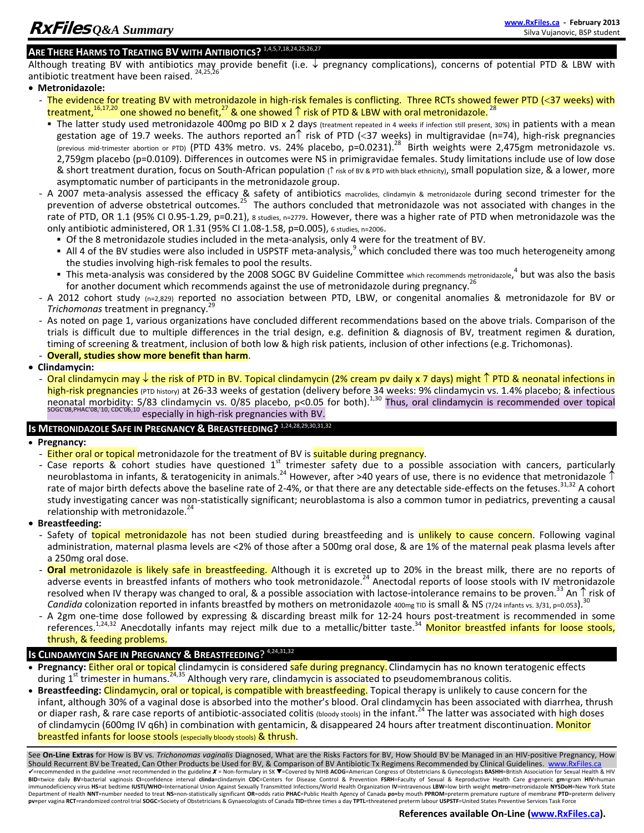# **ARE THERE HARMS TO TREATING BV WITH ANTIBIOTICS?** 1,4,5,7,18,24,25,26,27

Although treating BV with antibiotics may provide benefit (i.e. ↓ pregnancy complications), concerns of potential PTD & LBW with antibiotic treatment have been raised. <sup>24,25,26</sup>

**Metronidazole:**

- The evidence for treating BV with metronidazole in high-risk females is conflicting. Three RCTs showed fewer PTD (<37 weeks) with treatment,<sup>16,17,20</sup> one showed no benefit,<sup>27</sup> & one showed  $\uparrow$  risk of PTD & LBW with oral metronidazole.<sup>28</sup>
- The latter study used metronidazole 400mg po BID x 2 days (treatment repeated in 4 weeks if infection still present, 30%) in patients with a mean gestation age of 19.7 weeks. The authors reported an risk of PTD (<37 weeks) in multigravidae (n=74), high-risk pregnancies (previous mid-trimester abortion or PTD) (PTD 43% metro. vs. 24% placebo, p=0.0231).<sup>28</sup> Birth weights were 2,475gm metronidazole vs. 2,759gm placebo (p=0.0109). Differences in outcomes were NS in primigravidae females. Study limitations include use of low dose & short treatment duration, focus on South-African population (↑ risk of BV & PTD with black ethnicity), small population size, & a lower, more asymptomatic number of participants in the metronidazole group.
- A 2007 meta-analysis assessed the efficacy & safety of antibiotics macrolides, clindamyin & metronidazole during second trimester for the prevention of adverse obstetrical outcomes.<sup>25</sup> The authors concluded that metronidazole was not associated with changes in the rate of PTD, OR 1.1 (95% CI 0.95-1.29, p=0.21), 8 studies, n=2779. However, there was a higher rate of PTD when metronidazole was the only antibiotic administered, OR 1.31 (95% CI 1.08‐1.58, p=0.005), 6 studies, n=2006.
	- Of the 8 metronidazole studies included in the meta‐analysis, only 4 were for the treatment of BV.
	- All 4 of the BV studies were also included in USPSTF meta-analysis, which concluded there was too much heterogeneity among the studies involving high‐risk females to pool the results.
	- This meta-analysis was considered by the 2008 SOGC BV Guideline Committee which recommends metronidazole,<sup>4</sup> but was also the basis for another document which recommends against the use of metronidazole during pregnancy.<sup>2</sup>
- A 2012 cohort study (n=2,829) reported no association between PTD, LBW, or congenital anomalies & metronidazole for BV or *Trichomonas* treatment in pregnancy.<sup>25</sup>
- As noted on page 1, various organizations have concluded different recommendations based on the above trials. Comparison of the trials is difficult due to multiple differences in the trial design, e.g. definition & diagnosis of BV, treatment regimen & duration, timing of screening & treatment, inclusion of both low & high risk patients, inclusion of other infections (e.g. Trichomonas). - **Overall, studies show more benefit than harm**.
- **Clindamycin:**
	- Oral clindamycin may  $\downarrow$  the risk of PTD in BV. Topical clindamycin (2% cream pv daily x 7 days) might  $\uparrow$  PTD & neonatal infections in high-risk pregnancies (PTD history) at 26-33 weeks of gestation (delivery before 34 weeks: 9% clindamycin vs. 1.4% placebo; & infectious neonatal morbidity: 5/83 clindamycin vs. 0/85 placebo, p<0.05 for both).<sup>1,30</sup> Thus, oral clindamycin is recommended over topical soccos, PHAC<sup>'08</sup>,<sup>10</sup>, CDC<sup>'06,10</sup> especially in high-risk pregnancies with BV.

## **Is METRONIDAZOLE SAFE IN PREGNANCY & BREASTFEEDING?** 1,24,28,29,30,31,32

- **Pregnancy:**
- Either oral or topical metronidazole for the treatment of BV is suitable during pregnancy.
- Case reports & cohort studies have questioned  $1<sup>st</sup>$  trimester safety due to a possible association with cancers, particularly neuroblastoma in infants, & teratogenicity in animals.<sup>24</sup> However, after >40 years of use, there is no evidence that metronidazole  $\uparrow$ rate of major birth defects above the baseline rate of 2-4%, or that there are any detectable side-effects on the fetuses.<sup>31,32</sup> A cohort study investigating cancer was non‐statistically significant; neuroblastoma is also a common tumor in pediatrics, preventing a causal relationship with metronidazole.<sup>24</sup>
- **Breastfeeding:**
	- Safety of topical metronidazole has not been studied during breastfeeding and is unlikely to cause concern. Following vaginal administration, maternal plasma levels are <2% of those after a 500mg oral dose, & are 1% of the maternal peak plasma levels after a 250mg oral dose.
	- **Oral** metronidazole is likely safe in breastfeeding. Although it is excreted up to 20% in the breast milk, there are no reports of adverse events in breastfed infants of mothers who took metronidazole.<sup>24</sup> Anectodal reports of loose stools with IV metronidazole resolved when IV therapy was changed to oral, & a possible association with lactose-intolerance remains to be proven.<sup>33</sup> An  $\uparrow$  risk of *Candida* colonization reported in infants breastfed by mothers on metronidazole 400mg TID is small & NS (7/24 infants vs. 3/31, p=0.053).<sup>30</sup>
	- A 2gm one-time dose followed by expressing & discarding breast milk for 12-24 hours post-treatment is recommended in some references.<sup>1,24,32</sup> Anecdotally infants may reject milk due to a metallic/bitter taste.<sup>34</sup> Monitor breastfed infants for loose stools, thrush, & feeding problems.

### **Is CLINDAMYCIN SAFE IN PREGNANCY & BREASTFEEDING**? 4,24,31,32

- **Pregnancy:** Either oral or topical clindamycin is considered safe during pregnancy. Clindamycin has no known teratogenic effects during 1<sup>st</sup> trimester in humans.<sup>24,35</sup> Although very rare, clindamycin is associated to pseudomembranous colitis.
- **Breastfeeding:** Clindamycin, oral or topical, is compatible with breastfeeding. Topical therapy is unlikely to cause concern for the infant, although 30% of a vaginal dose is absorbed into the mother's blood. Oral clindamycin has been associated with diarrhea, thrush or diaper rash, & rare case reports of antibiotic-associated colitis (bloody stools) in the infant.<sup>24</sup> The latter was associated with high doses of clindamycin (600mg IV q6h) in combination with gentamicin, & disappeared 24 hours after treatment discontinuation. Monitor breastfed infants for loose stools (especially bloody stools) & thrush.

See **On‐Line Extras** for How is BV vs. *Trichonomas vaginalis* Diagnosed, What are the Risks Factors for BV, How Should BV be Managed in an HIV‐positive Pregnancy, How Should Recurrent BV be Treated, Can Other Products be Used for BV, & Comparison of BV Antibiotic Tx Regimens Recommended by Clinical Guidelines. www.RxFiles.ca Frecommended in the guideline -=not recommended in the guideline X = Non-formulary in SK V=Covered by NIHB ACOG=American Congress of Obstetricians & Gynecologists BASHH=British Association for Sexual Health & HIV BID=twice daily BV=bacterial vaginosis CI=confidence interval **clinda**=clindamyin CDC=Centers for Disease Control & Prevention FSRH=Faculty of Sexual & Reproductive Health Care g=generic gm=gram HIV=human<br>immunodeficiencyv means the alth NNT=number needed to treat NS=non-statistically significant OR=odds ratio PHAC=Public Health Agency of Canada po=by mouth PPROM=preterm premature rupture of membrane PTD=preterm delivery pv=per vagina RCT=randomized control trial SOGC=Society of Obstetricians & Gynaecologists of Canada TID=three times a day TPTL=threatened preterm labour USPSTF=United States Preventive Services Task Force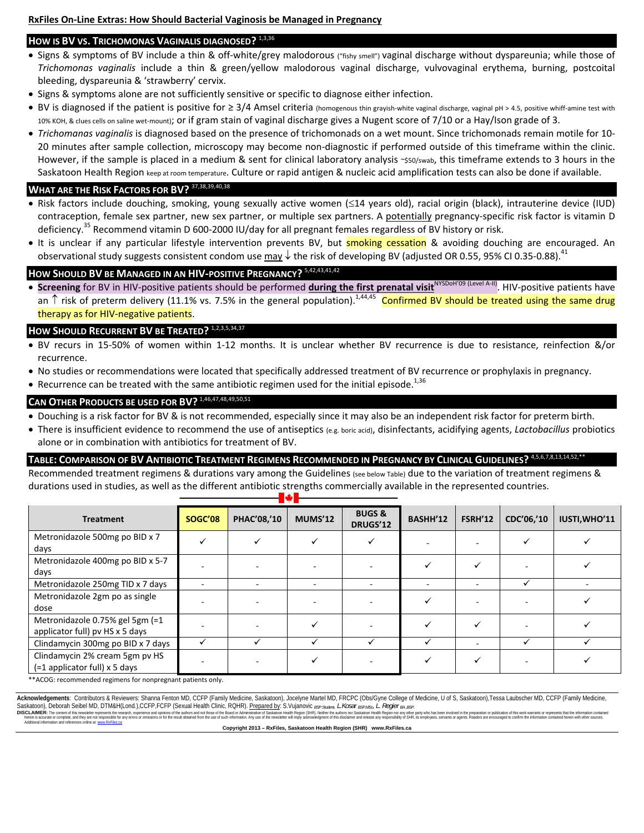#### **HOW IS BV VS. TRICHOMONAS VAGINALIS DIAGNOSED?** 1,3,36

- Signs & symptoms of BV include a thin & off-white/grey malodorous ("fishy smell") vaginal discharge without dyspareunia; while those of *Trichomonas vaginalis* include a thin & green/yellow malodorous vaginal discharge, vulvovaginal erythema, burning, postcoital bleeding, dyspareunia & 'strawberry' cervix.
- Signs & symptoms alone are not sufficiently sensitive or specific to diagnose either infection.
- BV is diagnosed if the patient is positive for ≥ 3/4 Amsel criteria (homogenous thin grayish-white vaginal discharge, vaginal pH > 4.5, positive whiff-amine test with 10% KOH, & clues cells on saline wet‐mount); or if gram stain of vaginal discharge gives a Nugent score of 7/10 or a Hay/Ison grade of 3.
- *Trichomanas vaginalis* is diagnosed based on the presence of trichomonads on a wet mount. Since trichomonads remain motile for 10‐ 20 minutes after sample collection, microscopy may become non‐diagnostic if performed outside of this timeframe within the clinic. However, if the sample is placed in a medium & sent for clinical laboratory analysis ~\$50/swab, this timeframe extends to 3 hours in the Saskatoon Health Region keep at room temperature. Culture or rapid antigen & nucleic acid amplification tests can also be done if available.

### **WHAT ARE THE RISK FACTORS FOR BV?** 37,38,39,40,38

- . Risk factors include douching, smoking, young sexually active women (≤14 years old), racial origin (black), intrauterine device (IUD) contraception, female sex partner, new sex partner, or multiple sex partners. A potentially pregnancy-specific risk factor is vitamin D deficiency.<sup>35</sup> Recommend vitamin D 600-2000 IU/day for all pregnant females regardless of BV history or risk.
- It is unclear if any particular lifestyle intervention prevents BV, but **smoking cessation** & avoiding douching are encouraged. An observational study suggests consistent condom use may  $\downarrow$  the risk of developing BV (adjusted OR 0.55, 95% CI 0.35-0.88).<sup>41</sup>

### **HOW SHOULD BV BE MANAGED IN AN HIV‐POSITIVE PREGNANCY?** 5,42,43,41,42

● Screening for BV in HIV-positive patients should be performed **during the first prenatal visit**<sup>NYSDoH'09 (Level A-II)</sup>. HIV-positive patients have an  $\uparrow$  risk of preterm delivery (11.1% vs. 7.5% in the general population).<sup>1,44,45</sup> Confirmed BV should be treated using the same drug therapy as for HIV‐negative patients.

### **HOW SHOULD RECURRENT BV BE TREATED?** 1,2,3,5,34,37

- BV recurs in 15‐50% of women within 1‐12 months. It is unclear whether BV recurrence is due to resistance, reinfection &/or recurrence.
- No studies or recommendations were located that specifically addressed treatment of BV recurrence or prophylaxis in pregnancy.
- Recurrence can be treated with the same antibiotic regimen used for the initial episode.<sup>1,36</sup>

#### **CAN OTHER PRODUCTS BE USED FOR BV?** 1,46,47,

- Douching is a risk factor for BV & is not recommended, especially since it may also be an independent risk factor for preterm birth.
- There is insufficient evidence to recommend the use of antiseptics (e.g. boric acid), disinfectants, acidifying agents, *Lactobacillus* probiotics alone or in combination with antibiotics for treatment of BV.

#### TABLE: COMPARISON OF BV ANTIBIOTIC TREATMENT REGIMENS RECOMMENDED IN PREGNANCY BY CLINICAL GUIDELINES?

Recommended treatment regimens & durations vary among the Guidelines (see below Table) due to the variation of treatment regimens & durations used in studies, as well as the different antibiotic strengths commercially available in the represented countries.

| .                                                                  |                |             |         |                               |          |                |            |               |  |  |  |
|--------------------------------------------------------------------|----------------|-------------|---------|-------------------------------|----------|----------------|------------|---------------|--|--|--|
| <b>Treatment</b>                                                   | <b>SOGC'08</b> | PHAC'08,'10 | MUMS'12 | <b>BUGS &amp;</b><br>DRUGS'12 | BASHH'12 | <b>FSRH'12</b> | CDC'06,'10 | IUSTI, WHO'11 |  |  |  |
| Metronidazole 500mg po BID x 7<br>days                             |                |             |         |                               |          |                |            |               |  |  |  |
| Metronidazole 400mg po BID x 5-7<br>days                           |                |             |         |                               |          |                |            |               |  |  |  |
| Metronidazole 250mg TID x 7 days                                   |                |             |         |                               |          |                |            |               |  |  |  |
| Metronidazole 2gm po as single<br>dose                             |                |             |         |                               |          |                |            |               |  |  |  |
| Metronidazole 0.75% gel 5gm (=1<br>applicator full) pv HS x 5 days |                |             |         |                               |          |                |            |               |  |  |  |
| Clindamycin 300mg po BID x 7 days                                  |                |             |         |                               |          |                |            |               |  |  |  |
| Clindamycin 2% cream 5gm pv HS<br>$(=1$ applicator full) x 5 days  |                |             |         |                               |          |                |            |               |  |  |  |

\*\*ACOG: recommended regimens for nonpregnant patients only.

**Acknowledgements**: Contributors & Reviewers: Shanna Fenton MD, CCFP (Family Medicine, Saskatoon), Jocelyne Martel MD, FRCPC (Obs/Gyne College of Medicine, U of S, Saskatoon),Tessa Laubscher MD, CCFP (Family Medicine, Saskatoon), Deborah Seibel MD, DTM&H(Lond.),CCFP,FCFP (Sexual Health Clinic, RQHR). <u>Prepared by</u>: S.Vujanovic *BSP Student, L.Kosar BSP,MSc, L. Regier BA,BSP.*<br>DISCLAIMER: The content of this pewskither recreased the pres

DISCLAIMER: The content of this newsletter represents the research, experience and opinions of the authors and not those of the Board or Administration of Saskatoon Health Region (SHR). Neither the authors nor Saskatoon He herein comples, and they are not responsible for any errors or omissions of for the result obtained from the use of such information. Any use of the newsleter will mply acknowledgement of this disclaimer and relates any re

**Copyright 2013 – RxFiles, Saskatoon Health Region (SHR) www.RxFiles.ca**